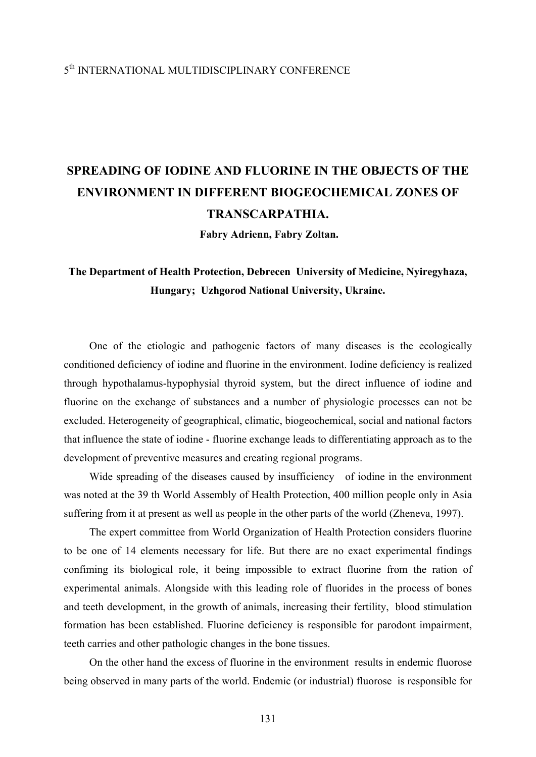### 5th INTERNATIONAL MULTIDISCIPLINARY CONFERENCE

## **SPREADING OF IODINE AND FLUORINE IN THE OBJECTS OF THE ENVIRONMENT IN DIFFERENT BIOGEOCHEMICAL ZONES OF TRANSCARPATHIA.**

 **Fabry Adrienn, Fabry Zoltan.** 

### **The Department of Health Protection, Debrecen University of Medicine, Nyiregyhaza, Hungary; Uzhgorod National University, Ukraine.**

One of the etiologic and pathogenic factors of many diseases is the ecologically conditioned deficiency of iodine and fluorine in the environment. Iodine deficiency is realized through hypothalamus-hypophysial thyroid system, but the direct influence of iodine and fluorine on the exchange of substances and a number of physiologic processes can not be excluded. Heterogeneity of geographical, climatic, biogeochemical, social and national factors that influence the state of iodine - fluorine exchange leads to differentiating approach as to the development of preventive measures and creating regional programs.

Wide spreading of the diseases caused by insufficiency of iodine in the environment was noted at the 39 th World Assembly of Health Protection, 400 million people only in Asia suffering from it at present as well as people in the other parts of the world (Zheneva, 1997).

The expert committee from World Organization of Health Protection considers fluorine to be one of 14 elements necessary for life. But there are no exact experimental findings confiming its biological role, it being impossible to extract fluorine from the ration of experimental animals. Alongside with this leading role of fluorides in the process of bones and teeth development, in the growth of animals, increasing their fertility, blood stimulation formation has been established. Fluorine deficiency is responsible for parodont impairment, teeth carries and other pathologic changes in the bone tissues.

On the other hand the excess of fluorine in the environment results in endemic fluorose being observed in many parts of the world. Endemic (or industrial) fluorose is responsible for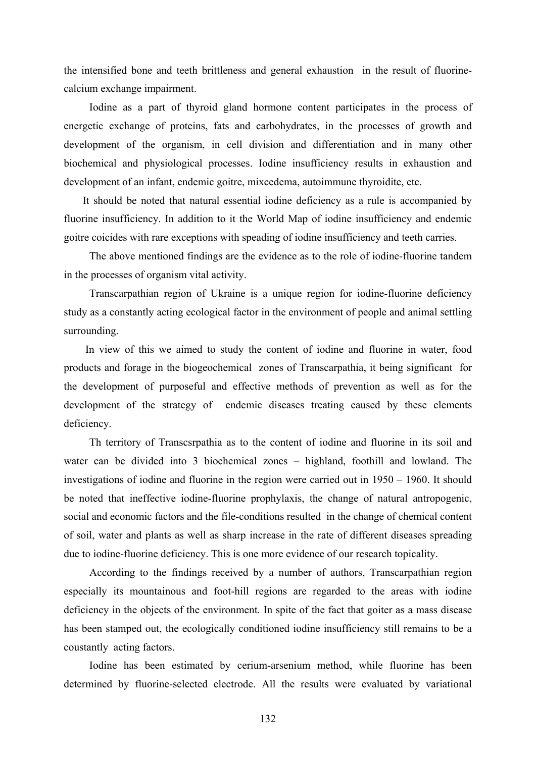the intensified bone and teeth brittleness and general exhaustion in the result of fluorinecalcium exchange impairment.

Iodine as a part of thyroid gland hormone content participates in the process of energetic exchange of proteins, fats and carbohydrates, in the processes of growth and development of the organism, in cell division and differentiation and in many other biochemical and physiological processes. Iodine insufficiency results in exhaustion and development of an infant, endemic goitre, mixcedema, autoimmune thyroidite, etc.

 It should be noted that natural essential iodine deficiency as a rule is accompanied by fluorine insufficiency. In addition to it the World Map of iodine insufficiency and endemic goitre coicides with rare exceptions with speading of iodine insufficiency and teeth carries.

The above mentioned findings are the evidence as to the role of iodine-fluorine tandem in the processes of organism vital activity.

Transcarpathian region of Ukraine is a unique region for iodine-fluorine deficiency study as a constantly acting ecological factor in the environment of people and animal settling surrounding.

 In view of this we aimed to study the content of iodine and fluorine in water, food products and forage in the biogeochemical zones of Transcarpathia, it being significant for the development of purposeful and effective methods of prevention as well as for the development of the strategy of endemic diseases treating caused by these clements deficiency.

Th territory of Transcsrpathia as to the content of iodine and fluorine in its soil and water can be divided into 3 biochemical zones – highland, foothill and lowland. The investigations of iodine and fluorine in the region were carried out in 1950 – 1960. It should be noted that ineffective iodine-fluorine prophylaxis, the change of natural antropogenic, social and economic factors and the file-conditions resulted in the change of chemical content of soil, water and plants as well as sharp increase in the rate of different diseases spreading due to iodine-fluorine deficiency. This is one more evidence of our research topicality.

According to the findings received by a number of authors, Transcarpathian region especially its mountainous and foot-hill regions are regarded to the areas with iodine deficiency in the objects of the environment. In spite of the fact that goiter as a mass disease has been stamped out, the ecologically conditioned iodine insufficiency still remains to be a coustantly acting factors.

Iodine has been estimated by cerium-arsenium method, while fluorine has been determined by fluorine-selected electrode. All the results were evaluated by variational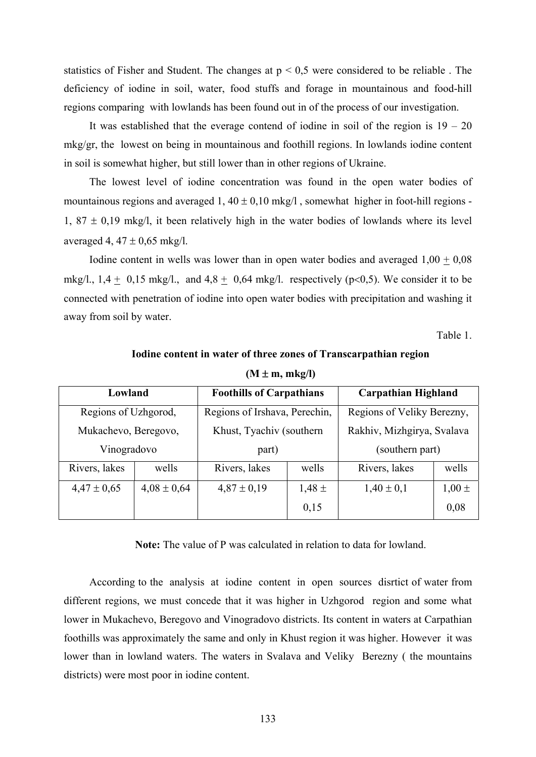statistics of Fisher and Student. The changes at  $p \le 0.5$  were considered to be reliable. The deficiency of iodine in soil, water, food stuffs and forage in mountainous and food-hill regions comparing with lowlands has been found out in of the process of our investigation.

It was established that the everage contend of iodine in soil of the region is  $19 - 20$ mkg/gr, the lowest on being in mountainous and foothill regions. In lowlands iodine content in soil is somewhat higher, but still lower than in other regions of Ukraine.

The lowest level of iodine concentration was found in the open water bodies of mountainous regions and averaged 1,  $40 \pm 0.10$  mkg/l, somewhat higher in foot-hill regions -1,  $87 \pm 0.19$  mkg/l, it been relatively high in the water bodies of lowlands where its level averaged 4,  $47 \pm 0.65$  mkg/l.

Iodine content in wells was lower than in open water bodies and averaged  $1,00 + 0,08$ mkg/l.,  $1,4 \pm 0,15$  mkg/l., and  $4,8 \pm 0,64$  mkg/l. respectively (p<0,5). We consider it to be connected with penetration of iodine into open water bodies with precipitation and washing it away from soil by water.

Table 1.

| $(M \pm m, mkg/l)$   |                 |                                 |            |                            |            |  |  |  |  |
|----------------------|-----------------|---------------------------------|------------|----------------------------|------------|--|--|--|--|
| Lowland              |                 | <b>Foothills of Carpathians</b> |            | <b>Carpathian Highland</b> |            |  |  |  |  |
| Regions of Uzhgorod, |                 | Regions of Irshava, Perechin,   |            | Regions of Veliky Berezny, |            |  |  |  |  |
| Mukachevo, Beregovo, |                 | Khust, Tyachiv (southern)       |            | Rakhiv, Mizhgirya, Svalava |            |  |  |  |  |
| Vinogradovo          |                 | part)                           |            | (southern part)            |            |  |  |  |  |
| Rivers, lakes        | wells           | Rivers, lakes                   | wells      | Rivers, lakes              | wells      |  |  |  |  |
| $4,47 \pm 0,65$      | $4,08 \pm 0,64$ | $4,87 \pm 0,19$                 | $1,48 \pm$ | $1,40 \pm 0,1$             | $1,00 \pm$ |  |  |  |  |
|                      |                 |                                 | 0,15       |                            | 0,08       |  |  |  |  |

# **Iodine content in water of three zones of Transcarpathian region**

**Note:** The value of P was calculated in relation to data for lowland.

According to the analysis at iodine content in open sources disrtict of water from different regions, we must concede that it was higher in Uzhgorod region and some what lower in Mukachevo, Beregovo and Vinogradovo districts. Its content in waters at Carpathian foothills was approximately the same and only in Khust region it was higher. However it was lower than in lowland waters. The waters in Svalava and Veliky Berezny ( the mountains districts) were most poor in iodine content.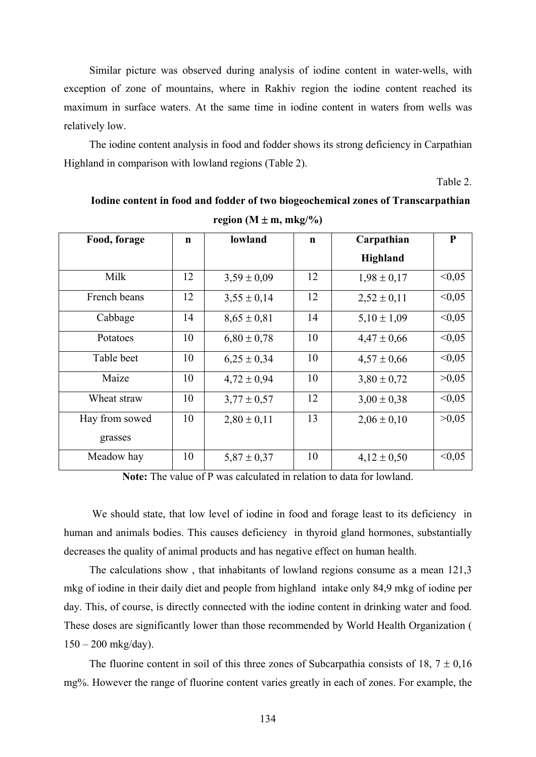Similar picture was observed during analysis of iodine content in water-wells, with exception of zone of mountains, where in Rakhiv region the iodine content reached its maximum in surface waters. At the same time in iodine content in waters from wells was relatively low.

The iodine content analysis in food and fodder shows its strong deficiency in Carpathian Highland in comparison with lowland regions (Table 2).

Table 2.

| Food, forage   | $\mathbf n$ | lowland         | $\mathbf n$ | Carpathian      | P      |
|----------------|-------------|-----------------|-------------|-----------------|--------|
|                |             |                 |             | Highland        |        |
| Milk           | 12          | $3,59 \pm 0,09$ | 12          | $1,98 \pm 0,17$ | < 0.05 |
| French beans   | 12          | $3,55 \pm 0,14$ | 12          | $2,52 \pm 0,11$ | < 0.05 |
| Cabbage        | 14          | $8,65 \pm 0,81$ | 14          | $5,10 \pm 1,09$ | < 0.05 |
| Potatoes       | 10          | $6,80 \pm 0,78$ | 10          | $4,47 \pm 0,66$ | < 0.05 |
| Table beet     | 10          | $6,25 \pm 0,34$ | 10          | $4,57 \pm 0,66$ | < 0.05 |
| Maize          | 10          | $4,72 \pm 0,94$ | 10          | $3,80 \pm 0,72$ | >0,05  |
| Wheat straw    | 10          | $3,77 \pm 0,57$ | 12          | $3,00 \pm 0,38$ | < 0.05 |
| Hay from sowed | 10          | $2,80 \pm 0,11$ | 13          | $2,06 \pm 0,10$ | >0.05  |
| grasses        |             |                 |             |                 |        |
| Meadow hay     | 10          | $5,87 \pm 0,37$ | 10          | $4,12 \pm 0,50$ | < 0.05 |

**Iodine content in food and fodder of two biogeochemical zones of Transcarpathian region** ( $M \pm m$ ,  $mkg/\%$ )

**Note:** The value of P was calculated in relation to data for lowland.

 We should state, that low level of iodine in food and forage least to its deficiency in human and animals bodies. This causes deficiency in thyroid gland hormones, substantially decreases the quality of animal products and has negative effect on human health.

The calculations show , that inhabitants of lowland regions consume as a mean 121,3 mkg of iodine in their daily diet and people from highland intake only 84,9 mkg of iodine per day. This, of course, is directly connected with the iodine content in drinking water and food. These doses are significantly lower than those recommended by World Health Organization (  $150 - 200$  mkg/day).

The fluorine content in soil of this three zones of Subcarpathia consists of 18,  $7 \pm 0.16$ mg%. However the range of fluorine content varies greatly in each of zones. For example, the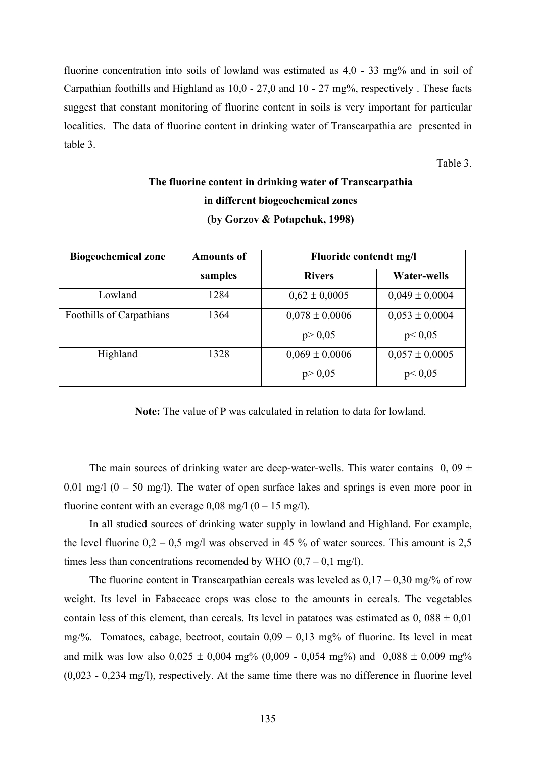fluorine concentration into soils of lowland was estimated as 4,0 - 33 mg% and in soil of Carpathian foothills and Highland as 10,0 - 27,0 and 10 - 27 mg%, respectively . These facts suggest that constant monitoring of fluorine content in soils is very important for particular localities. The data of fluorine content in drinking water of Transcarpathia are presented in table 3.

Table 3.

| <b>Biogeochemical zone</b> | <b>Amounts of</b> | Fluoride contendt mg/l |                    |  |  |
|----------------------------|-------------------|------------------------|--------------------|--|--|
|                            | samples           | <b>Rivers</b>          | <b>Water-wells</b> |  |  |
| Lowland                    | 1284              | $0,62 \pm 0,0005$      | $0,049 \pm 0,0004$ |  |  |
| Foothills of Carpathians   | 1364              | $0,078 \pm 0,0006$     | $0,053 \pm 0,0004$ |  |  |
|                            |                   | p > 0,05               | p < 0.05           |  |  |
| Highland                   | 1328              | $0,069 \pm 0,0006$     | $0,057 \pm 0,0005$ |  |  |
|                            |                   | p > 0,05               | p < 0.05           |  |  |

### **The fluorine content in drinking water of Transcarpathia in different biogeochemical zones (by Gorzov & Potapchuk, 1998)**

**Note:** The value of P was calculated in relation to data for lowland.

The main sources of drinking water are deep-water-wells. This water contains  $0, 09 \pm 1$ 0,01 mg/l  $(0 - 50 \text{ mg/l})$ . The water of open surface lakes and springs is even more poor in fluorine content with an everage  $0.08 \text{ mg}/1 (0 - 15 \text{ mg}/1)$ .

In all studied sources of drinking water supply in lowland and Highland. For example, the level fluorine  $0.2 - 0.5$  mg/l was observed in 45 % of water sources. This amount is 2,5 times less than concentrations recomended by WHO  $(0,7 - 0,1 \text{ mg/l})$ .

The fluorine content in Transcarpathian cereals was leveled as  $0.17 - 0.30$  mg/% of row weight. Its level in Fabaceace crops was close to the amounts in cereals. The vegetables contain less of this element, than cereals. Its level in patatoes was estimated as  $0,088 \pm 0.01$ mg/%. Tomatoes, cabage, beetroot, coutain  $0.09 - 0.13$  mg% of fluorine. Its level in meat and milk was low also  $0.025 \pm 0.004$  mg% (0,009 - 0,054 mg%) and  $0.088 \pm 0.009$  mg% (0,023 - 0,234 mg/l), respectively. At the same time there was no difference in fluorine level